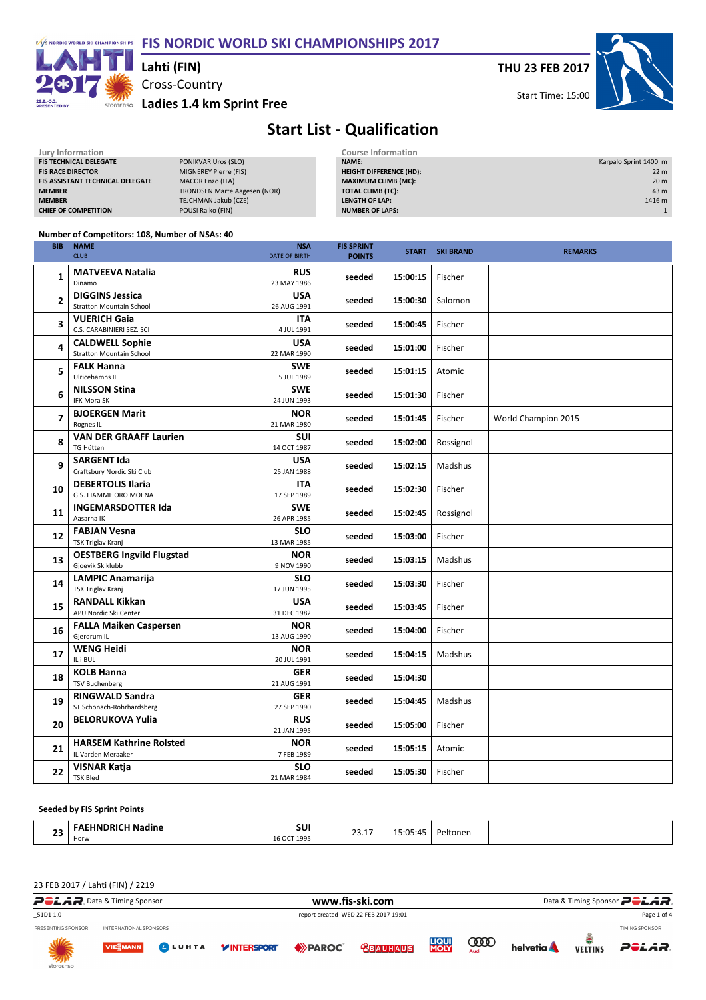### FIS NORDIC WORLD SKI CHAMPIONSHIPS 2017



### Cross-Country Lahti (FIN)

storgenso Ladies 1.4 km Sprint Free

THU 23 FEB 2017



Start Time: 15:00

# Start List - Qualification

| Jury Information                        |                                     | <b>Course Information</b>      |                       |
|-----------------------------------------|-------------------------------------|--------------------------------|-----------------------|
| <b>FIS TECHNICAL DELEGATE</b>           | PONIKVAR Uros (SLO)                 | <b>NAME:</b>                   | Karpalo Sprint 1400 m |
| <b>FIS RACE DIRECTOR</b>                | MIGNEREY Pierre (FIS)               | <b>HEIGHT DIFFERENCE (HD):</b> | 22 <sub>m</sub>       |
| <b>FIS ASSISTANT TECHNICAL DELEGATE</b> | <b>MACOR Enzo (ITA)</b>             | <b>MAXIMUM CLIMB (MC):</b>     | 20 <sub>m</sub>       |
| <b>MEMBER</b>                           | <b>TRONDSEN Marte Aagesen (NOR)</b> | <b>TOTAL CLIMB (TC):</b>       | 43 m                  |
| <b>MEMBER</b>                           | TEJCHMAN Jakub (CZE)                | LENGTH OF LAP:                 | 1416 m                |
| <b>CHIEF OF COMPETITION</b>             | POUSI Raiko (FIN)                   | <b>NUMBER OF LAPS:</b>         |                       |
|                                         |                                     |                                |                       |

#### Number of Competitors: 108, Number of NSAs: 40

| <b>BIB</b>               | <b>NAME</b><br><b>CLUB</b>                                | <b>NSA</b><br><b>DATE OF BIRTH</b> | <b>FIS SPRINT</b><br><b>POINTS</b> |          | <b>START SKI BRAND</b> | <b>REMARKS</b>      |
|--------------------------|-----------------------------------------------------------|------------------------------------|------------------------------------|----------|------------------------|---------------------|
| 1                        | <b>MATVEEVA Natalia</b><br>Dinamo                         | <b>RUS</b><br>23 MAY 1986          | seeded                             | 15:00:15 | Fischer                |                     |
| $\overline{2}$           | <b>DIGGINS Jessica</b><br><b>Stratton Mountain School</b> | <b>USA</b><br>26 AUG 1991          | seeded                             | 15:00:30 | Salomon                |                     |
| 3                        | <b>VUERICH Gaia</b><br>C.S. CARABINIERI SEZ. SCI          | <b>ITA</b><br>4 JUL 1991           | seeded                             | 15:00:45 | Fischer                |                     |
| 4                        | <b>CALDWELL Sophie</b><br><b>Stratton Mountain School</b> | <b>USA</b><br>22 MAR 1990          | seeded                             | 15:01:00 | Fischer                |                     |
| 5                        | <b>FALK Hanna</b><br>Ulricehamns IF                       | <b>SWE</b><br>5 JUL 1989           | seeded                             | 15:01:15 | Atomic                 |                     |
| 6                        | <b>NILSSON Stina</b><br><b>IFK Mora SK</b>                | <b>SWE</b><br>24 JUN 1993          | seeded                             | 15:01:30 | Fischer                |                     |
| $\overline{\phantom{a}}$ | <b>BJOERGEN Marit</b><br>Rognes IL                        | <b>NOR</b><br>21 MAR 1980          | seeded                             | 15:01:45 | Fischer                | World Champion 2015 |
| 8                        | <b>VAN DER GRAAFF Laurien</b><br><b>TG Hütten</b>         | <b>SUI</b><br>14 OCT 1987          | seeded                             | 15:02:00 | Rossignol              |                     |
| 9                        | <b>SARGENT Ida</b><br>Craftsbury Nordic Ski Club          | <b>USA</b><br>25 JAN 1988          | seeded                             | 15:02:15 | Madshus                |                     |
| 10                       | <b>DEBERTOLIS Ilaria</b><br>G.S. FIAMME ORO MOENA         | <b>ITA</b><br>17 SEP 1989          | seeded                             | 15:02:30 | Fischer                |                     |
| 11                       | <b>INGEMARSDOTTER Ida</b><br>Aasarna IK                   | <b>SWE</b><br>26 APR 1985          | seeded                             | 15:02:45 | Rossignol              |                     |
| 12                       | <b>FABJAN Vesna</b><br><b>TSK Triglav Kranj</b>           | <b>SLO</b><br>13 MAR 1985          | seeded                             | 15:03:00 | Fischer                |                     |
| 13                       | <b>OESTBERG Ingvild Flugstad</b><br>Gjoevik Skiklubb      | <b>NOR</b><br>9 NOV 1990           | seeded                             | 15:03:15 | Madshus                |                     |
| 14                       | <b>LAMPIC Anamarija</b><br><b>TSK Triglav Kranj</b>       | <b>SLO</b><br>17 JUN 1995          | seeded                             | 15:03:30 | Fischer                |                     |
| 15                       | <b>RANDALL Kikkan</b><br>APU Nordic Ski Center            | <b>USA</b><br>31 DEC 1982          | seeded                             | 15:03:45 | Fischer                |                     |
| 16                       | <b>FALLA Maiken Caspersen</b><br>Gjerdrum IL              | <b>NOR</b><br>13 AUG 1990          | seeded                             | 15:04:00 | Fischer                |                     |
| 17                       | <b>WENG Heidi</b><br>IL i BUL                             | <b>NOR</b><br>20 JUL 1991          | seeded                             | 15:04:15 | Madshus                |                     |
| 18                       | <b>KOLB Hanna</b><br><b>TSV Buchenberg</b>                | <b>GER</b><br>21 AUG 1991          | seeded                             | 15:04:30 |                        |                     |
| 19                       | <b>RINGWALD Sandra</b><br>ST Schonach-Rohrhardsberg       | <b>GER</b><br>27 SEP 1990          | seeded                             | 15:04:45 | Madshus                |                     |
| 20                       | <b>BELORUKOVA Yulia</b>                                   | <b>RUS</b><br>21 JAN 1995          | seeded                             | 15:05:00 | Fischer                |                     |
| 21                       | <b>HARSEM Kathrine Rolsted</b><br>IL Varden Meraaker      | <b>NOR</b><br>7 FEB 1989           | seeded                             | 15:05:15 | Atomic                 |                     |
| 22                       | VISNAR Katja<br><b>TSK Bled</b>                           | <b>SLO</b><br>21 MAR 1984          | seeded                             | 15:05:30 | Fischer                |                     |

#### Seeded by FIS Sprint Points

| $\sim$<br>.<br>--<br>__ | Ned<br>. | <b>CLU</b><br>ישכ<br>$  -$ | ⊥…ت | ~~<br>$\cdot$ / $\cdot$ /<br>. | .<br>onei<br>. |  |
|-------------------------|----------|----------------------------|-----|--------------------------------|----------------|--|
|                         | Horw     | .                          |     |                                |                |  |

23 FEB 2017 / Lahti (FIN) / 2219

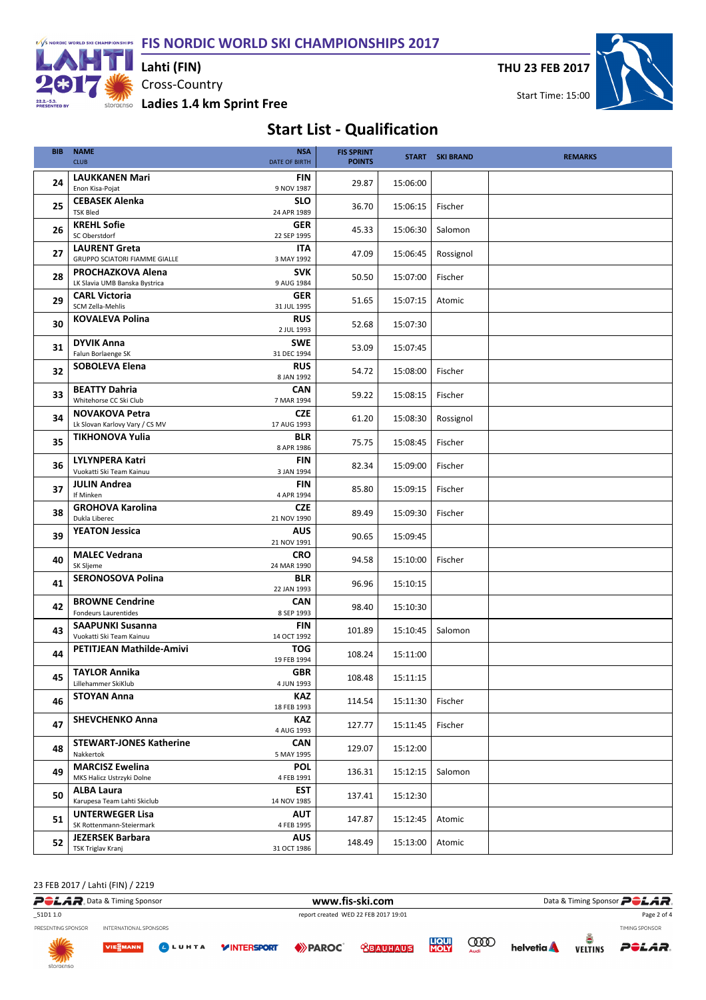FIS NORDIC WORLD SKI CHAMPIONSHIPS 2017



Cross-Country storgenso Ladies 1.4 km Sprint Free Lahti (FIN)

THU 23 FEB 2017



# Start List - Qualification

| <b>BIB</b> | <b>NAME</b><br><b>CLUB</b>                         | <b>NSA</b><br><b>DATE OF BIRTH</b> | <b>FIS SPRINT</b><br><b>POINTS</b> |          | <b>START SKI BRAND</b> | <b>REMARKS</b> |
|------------|----------------------------------------------------|------------------------------------|------------------------------------|----------|------------------------|----------------|
|            |                                                    |                                    |                                    |          |                        |                |
| 24         | <b>LAUKKANEN Mari</b>                              | FIN                                | 29.87                              | 15:06:00 |                        |                |
|            | Enon Kisa-Pojat                                    | 9 NOV 1987                         |                                    |          |                        |                |
| 25         | <b>CEBASEK Alenka</b>                              | <b>SLO</b>                         | 36.70                              | 15:06:15 | Fischer                |                |
|            | <b>TSK Bled</b>                                    | 24 APR 1989                        |                                    |          |                        |                |
| 26         | <b>KREHL Sofie</b>                                 | <b>GER</b>                         | 45.33                              | 15:06:30 | Salomon                |                |
|            | SC Oberstdorf                                      | 22 SEP 1995                        |                                    |          |                        |                |
| 27         | <b>LAURENT Greta</b>                               | <b>ITA</b>                         | 47.09                              | 15:06:45 | Rossignol              |                |
|            | GRUPPO SCIATORI FIAMME GIALLE                      | 3 MAY 1992                         |                                    |          |                        |                |
| 28         | PROCHAZKOVA Alena                                  | <b>SVK</b>                         | 50.50                              | 15:07:00 | Fischer                |                |
|            | LK Slavia UMB Banska Bystrica                      | 9 AUG 1984                         |                                    |          |                        |                |
| 29         | <b>CARL Victoria</b>                               | <b>GER</b>                         | 51.65                              | 15:07:15 | Atomic                 |                |
|            | SCM Zella-Mehlis                                   | 31 JUL 1995                        |                                    |          |                        |                |
| 30         | <b>KOVALEVA Polina</b>                             | <b>RUS</b>                         | 52.68                              | 15:07:30 |                        |                |
|            |                                                    | 2 JUL 1993                         |                                    |          |                        |                |
| 31         | <b>DYVIK Anna</b>                                  | <b>SWE</b>                         | 53.09                              | 15:07:45 |                        |                |
|            | Falun Borlaenge SK                                 | 31 DEC 1994                        |                                    |          |                        |                |
| 32         | <b>SOBOLEVA Elena</b>                              | <b>RUS</b>                         | 54.72                              | 15:08:00 | Fischer                |                |
|            |                                                    | 8 JAN 1992                         |                                    |          |                        |                |
| 33         | <b>BEATTY Dahria</b><br>Whitehorse CC Ski Club     | <b>CAN</b>                         | 59.22                              | 15:08:15 | Fischer                |                |
|            |                                                    | 7 MAR 1994                         |                                    |          |                        |                |
| 34         | <b>NOVAKOVA Petra</b>                              | <b>CZE</b>                         | 61.20                              | 15:08:30 | Rossignol              |                |
|            | Lk Slovan Karlovy Vary / CS MV                     | 17 AUG 1993                        |                                    |          |                        |                |
| 35         | <b>TIKHONOVA Yulia</b>                             | <b>BLR</b>                         | 75.75                              | 15:08:45 | Fischer                |                |
|            |                                                    | 8 APR 1986                         |                                    |          |                        |                |
| 36         | <b>LYLYNPERA Katri</b><br>Vuokatti Ski Team Kainuu | FIN<br>3 JAN 1994                  | 82.34                              | 15:09:00 | Fischer                |                |
|            |                                                    | <b>FIN</b>                         |                                    |          |                        |                |
| 37         | <b>JULIN Andrea</b><br>If Minken                   | 4 APR 1994                         | 85.80                              | 15:09:15 | Fischer                |                |
|            | <b>GROHOVA Karolina</b>                            | <b>CZE</b>                         |                                    |          |                        |                |
| 38         | Dukla Liberec                                      | 21 NOV 1990                        | 89.49                              | 15:09:30 | Fischer                |                |
|            | <b>YEATON Jessica</b>                              | <b>AUS</b>                         |                                    |          |                        |                |
| 39         |                                                    | 21 NOV 1991                        | 90.65                              | 15:09:45 |                        |                |
|            | <b>MALEC Vedrana</b>                               | <b>CRO</b>                         |                                    |          |                        |                |
| 40         | SK Sljeme                                          | 24 MAR 1990                        | 94.58                              | 15:10:00 | Fischer                |                |
|            | <b>SERONOSOVA Polina</b>                           | <b>BLR</b>                         |                                    |          |                        |                |
| 41         |                                                    | 22 JAN 1993                        | 96.96                              | 15:10:15 |                        |                |
|            | <b>BROWNE Cendrine</b>                             | <b>CAN</b>                         |                                    |          |                        |                |
| 42         | <b>Fondeurs Laurentides</b>                        | 8 SEP 1993                         | 98.40                              | 15:10:30 |                        |                |
|            | <b>SAAPUNKI Susanna</b>                            | <b>FIN</b>                         |                                    |          |                        |                |
| 43         | Vuokatti Ski Team Kainuu                           | 14 OCT 1992                        | 101.89                             | 15:10:45 | Salomon                |                |
| 44         | PETITJEAN Mathilde-Amivi                           | <b>TOG</b>                         |                                    |          |                        |                |
|            |                                                    | 19 FEB 1994                        | 108.24                             | 15:11:00 |                        |                |
| 45         | <b>TAYLOR Annika</b>                               | <b>GBR</b>                         | 108.48                             | 15:11:15 |                        |                |
|            | Lillehammer SkiKlub                                | 4 JUN 1993                         |                                    |          |                        |                |
| 46         | <b>STOYAN Anna</b>                                 | KAZ                                | 114.54                             | 15:11:30 | Fischer                |                |
|            |                                                    | 18 FEB 1993                        |                                    |          |                        |                |
| 47         | <b>SHEVCHENKO Anna</b>                             | <b>KAZ</b>                         | 127.77                             | 15:11:45 | Fischer                |                |
|            |                                                    | 4 AUG 1993                         |                                    |          |                        |                |
| 48         | <b>STEWART-JONES Katherine</b>                     | CAN                                | 129.07                             | 15:12:00 |                        |                |
|            | Nakkertok                                          | 5 MAY 1995                         |                                    |          |                        |                |
| 49         | <b>MARCISZ Ewelina</b>                             | <b>POL</b>                         | 136.31                             | 15:12:15 | Salomon                |                |
|            | MKS Halicz Ustrzyki Dolne                          | 4 FEB 1991                         |                                    |          |                        |                |
| 50         | <b>ALBA Laura</b>                                  | <b>EST</b>                         | 137.41                             | 15:12:30 |                        |                |
|            | Karupesa Team Lahti Skiclub                        | 14 NOV 1985                        |                                    |          |                        |                |
| 51         | <b>UNTERWEGER Lisa</b><br>SK Rottenmann-Steiermark | <b>AUT</b><br>4 FEB 1995           | 147.87                             | 15:12:45 | Atomic                 |                |
|            |                                                    |                                    |                                    |          |                        |                |
| 52         | <b>JEZERSEK Barbara</b><br>TSK Triglav Kranj       | <b>AUS</b><br>31 OCT 1986          | 148.49                             | 15:13:00 | Atomic                 |                |
|            |                                                    |                                    |                                    |          |                        |                |

23 FEB 2017 / Lahti (FIN) / 2219

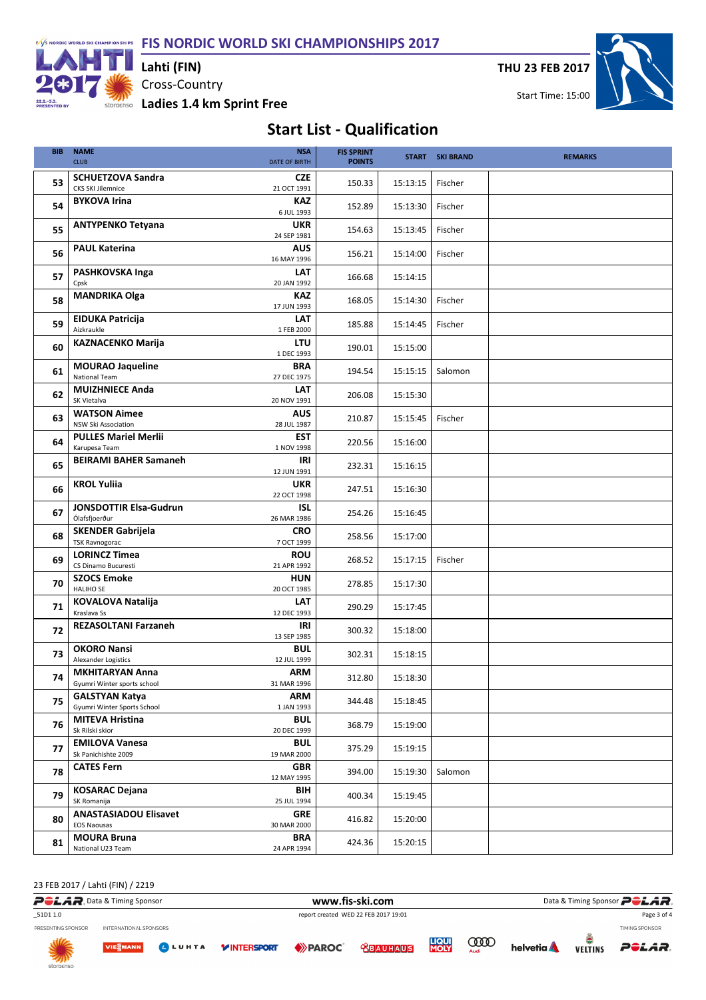F/S NORDIC WORLD SKI CHAMPIONSHIPS FIS NORDIC WORLD SKI CHAMPIONSHIPS 2017



Cross-Country storgenso Ladies 1.4 km Sprint Free Lahti (FIN)

THU 23 FEB 2017



## Start List - Qualification

| <b>BIB</b> | <b>NAME</b><br><b>CLUB</b>                            | <b>NSA</b><br><b>DATE OF BIRTH</b> | <b>FIS SPRINT</b><br><b>POINTS</b> |          | <b>START SKI BRAND</b> | <b>REMARKS</b> |
|------------|-------------------------------------------------------|------------------------------------|------------------------------------|----------|------------------------|----------------|
| 53         | <b>SCHUETZOVA Sandra</b><br>CKS SKI Jilemnice         | <b>CZE</b><br>21 OCT 1991          | 150.33                             | 15:13:15 | Fischer                |                |
| 54         | <b>BYKOVA Irina</b>                                   | <b>KAZ</b><br>6 JUL 1993           | 152.89                             | 15:13:30 | Fischer                |                |
| 55         | <b>ANTYPENKO Tetyana</b>                              | <b>UKR</b><br>24 SEP 1981          | 154.63                             | 15:13:45 | Fischer                |                |
| 56         | <b>PAUL Katerina</b>                                  | <b>AUS</b><br>16 MAY 1996          | 156.21                             | 15:14:00 | Fischer                |                |
| 57         | PASHKOVSKA Inga<br>Cpsk                               | LAT<br>20 JAN 1992                 | 166.68                             | 15:14:15 |                        |                |
| 58         | <b>MANDRIKA Olga</b>                                  | <b>KAZ</b><br>17 JUN 1993          | 168.05                             | 15:14:30 | Fischer                |                |
| 59         | <b>EIDUKA Patricija</b><br>Aizkraukle                 | <b>LAT</b><br>1 FEB 2000           | 185.88                             | 15:14:45 | Fischer                |                |
| 60         | <b>KAZNACENKO Marija</b>                              | LTU<br>1 DEC 1993                  | 190.01                             | 15:15:00 |                        |                |
| 61         | <b>MOURAO Jaqueline</b><br><b>National Team</b>       | <b>BRA</b><br>27 DEC 1975          | 194.54                             | 15:15:15 | Salomon                |                |
| 62         | <b>MUIZHNIECE Anda</b><br>SK Vietalva                 | <b>LAT</b><br>20 NOV 1991          | 206.08                             | 15:15:30 |                        |                |
| 63         | <b>WATSON Aimee</b><br><b>NSW Ski Association</b>     | <b>AUS</b><br>28 JUL 1987          | 210.87                             | 15:15:45 | Fischer                |                |
| 64         | <b>PULLES Mariel Merlii</b><br>Karupesa Team          | <b>EST</b><br>1 NOV 1998           | 220.56                             | 15:16:00 |                        |                |
| 65         | <b>BEIRAMI BAHER Samaneh</b>                          | IRI<br>12 JUN 1991                 | 232.31                             | 15:16:15 |                        |                |
| 66         | <b>KROL Yuliia</b>                                    | <b>UKR</b><br>22 OCT 1998          | 247.51                             | 15:16:30 |                        |                |
| 67         | <b>JONSDOTTIR Elsa-Gudrun</b><br>Ólafsfjoerður        | ISL<br>26 MAR 1986                 | 254.26                             | 15:16:45 |                        |                |
| 68         | <b>SKENDER Gabrijela</b><br><b>TSK Ravnogorac</b>     | <b>CRO</b><br>7 OCT 1999           | 258.56                             | 15:17:00 |                        |                |
| 69         | <b>LORINCZ Timea</b><br>CS Dinamo Bucuresti           | <b>ROU</b><br>21 APR 1992          | 268.52                             | 15:17:15 | Fischer                |                |
| 70         | <b>SZOCS Emoke</b><br>HALIHO SE                       | <b>HUN</b><br>20 OCT 1985          | 278.85                             | 15:17:30 |                        |                |
| 71         | <b>KOVALOVA Natalija</b><br>Kraslava Ss               | <b>LAT</b><br>12 DEC 1993          | 290.29                             | 15:17:45 |                        |                |
| 72         | <b>REZASOLTANI Farzaneh</b>                           | IRI<br>13 SEP 1985                 | 300.32                             | 15:18:00 |                        |                |
| 73         | <b>OKORO Nansi</b><br>Alexander Logistics             | <b>BUL</b><br>12 JUL 1999          | 302.31                             | 15:18:15 |                        |                |
| 74         | <b>MKHITARYAN Anna</b><br>Gyumri Winter sports school | <b>ARM</b><br>31 MAR 1996          | 312.80                             | 15:18:30 |                        |                |
| 75         | <b>GALSTYAN Katya</b><br>Gyumri Winter Sports School  | <b>ARM</b><br>1 JAN 1993           | 344.48                             | 15:18:45 |                        |                |
| 76         | <b>MITEVA Hristina</b><br>Sk Rilski skior             | <b>BUL</b><br>20 DEC 1999          | 368.79                             | 15:19:00 |                        |                |
| 77         | <b>EMILOVA Vanesa</b><br>Sk Panichishte 2009          | <b>BUL</b><br>19 MAR 2000          | 375.29                             | 15:19:15 |                        |                |
| 78         | <b>CATES Fern</b>                                     | <b>GBR</b><br>12 MAY 1995          | 394.00                             | 15:19:30 | Salomon                |                |
| 79         | <b>KOSARAC Dejana</b><br>SK Romanija                  | BIH<br>25 JUL 1994                 | 400.34                             | 15:19:45 |                        |                |
| 80         | <b>ANASTASIADOU Elisavet</b><br><b>EOS Naousas</b>    | <b>GRE</b><br>30 MAR 2000          | 416.82                             | 15:20:00 |                        |                |
| 81         | <b>MOURA Bruna</b><br>National U23 Team               | <b>BRA</b><br>24 APR 1994          | 424.36                             | 15:20:15 |                        |                |

23 FEB 2017 / Lahti (FIN) / 2219